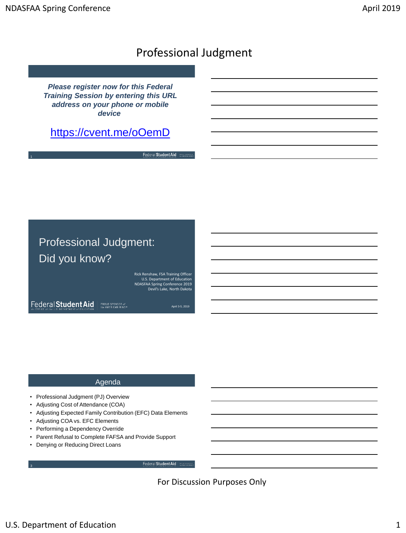## Professional Judgment

*Please register now for this Federal Training Session by entering this URL address on your phone or mobile device*

## <https://cvent.me/oOemD>

Federal Student Aid | manus

# Professional Judgment: Did you know?

Rick Renshaw, FSA Training Officer U.S. Department of Education NDASFAA Spring Conference 2019 Devil's Lake, North Dakota

Federal Student Aid | mag

Federal Student Aid

 $\left| \begin{array}{c} \text{PROUD SPONSOR of} \\ \text{the AMFRCAN MIND*} \end{array} \right|$ 

April 3-5, 2019

## Agenda

- Professional Judgment (PJ) Overview
- Adjusting Cost of Attendance (COA)
- Adjusting Expected Family Contribution (EFC) Data Elements
- Adjusting COA vs. EFC Elements
- Performing a Dependency Override
- Parent Refusal to Complete FAFSA and Provide Support
- Denying or Reducing Direct Loans

For Discussion Purposes Only

3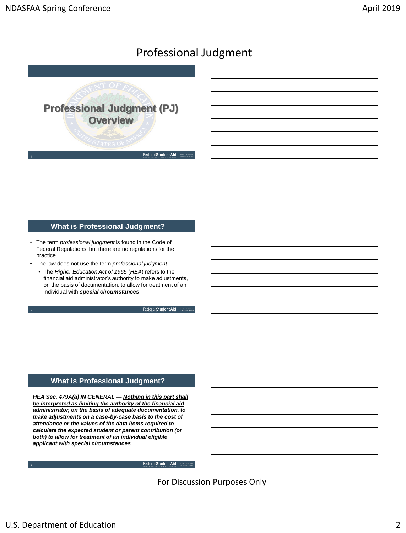

#### **What is Professional Judgment?**

- The term *professional judgment* is found in the Code of Federal Regulations, but there are no regulations for the practice
- The law does not use the term *professional judgment*
	- The *Higher Education Act of 1965* (*HEA*) refers to the financial aid administrator's authority to make adjustments, on the basis of documentation, to allow for treatment of an individual with *special circumstances*

Federal Student Aid | 2000 st

Federal Student Aid | mag

### **What is Professional Judgment?**

*HEA Sec. 479A(a) IN GENERAL — Nothing in this part shall be interpreted as limiting the authority of the financial aid administrator, on the basis of adequate documentation, to make adjustments on a case-by-case basis to the cost of attendance or the values of the data items required to calculate the expected student or parent contribution (or both) to allow for treatment of an individual eligible applicant with special circumstances*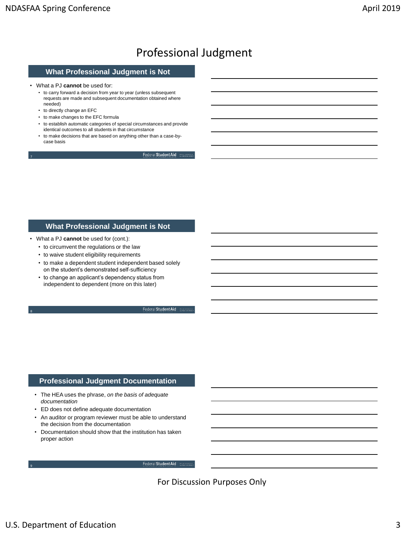## **What Professional Judgment is Not**

• What a PJ **cannot** be used for:

- to carry forward a decision from year to year (unless subsequent requests are made and subsequent documentation obtained where needed)
- to directly change an EFC

7

- to make changes to the EFC formula
- to establish automatic categories of special circumstances and provide identical outcomes to all students in that circumstance
- to make decisions that are based on anything other than a case-bycase basis

Federal Student Aid | MOLD STONES

## **What Professional Judgment is Not**

- What a PJ **cannot** be used for (cont.):
	- to circumvent the regulations or the law
	- to waive student eligibility requirements
	- to make a dependent student independent based solely on the student's demonstrated self-sufficiency
	- to change an applicant's dependency status from independent to dependent (more on this later)

Federal Student Aid | 2

Federal Student Aid

#### **Professional Judgment Documentation**

- The HEA uses the phrase, *on the basis of adequate documentation*
- ED does not define adequate documentation
- An auditor or program reviewer must be able to understand the decision from the documentation
- Documentation should show that the institution has taken proper action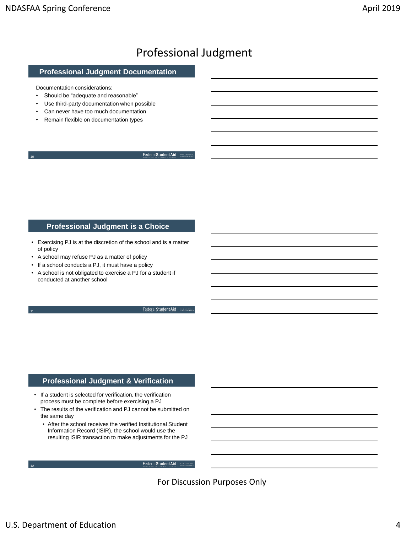## **Professional Judgment Documentation**

Documentation considerations:

10

- Should be "adequate and reasonable"
- Use third-party documentation when possible
- Can never have too much documentation
- Remain flexible on documentation types

Federal Student Aid | mann

### **Professional Judgment is a Choice**

- Exercising PJ is at the discretion of the school and is a matter of policy
- A school may refuse PJ as a matter of policy
- If a school conducts a PJ, it must have a policy
- A school is not obligated to exercise a PJ for a student if conducted at another school

Federal Student Aid

Federal Student Aid | mouses

## **Professional Judgment & Verification**

- If a student is selected for verification, the verification process must be complete before exercising a PJ
- The results of the verification and PJ cannot be submitted on the same day
	- After the school receives the verified Institutional Student Information Record (ISIR), the school would use the resulting ISIR transaction to make adjustments for the PJ

For Discussion Purposes Only

12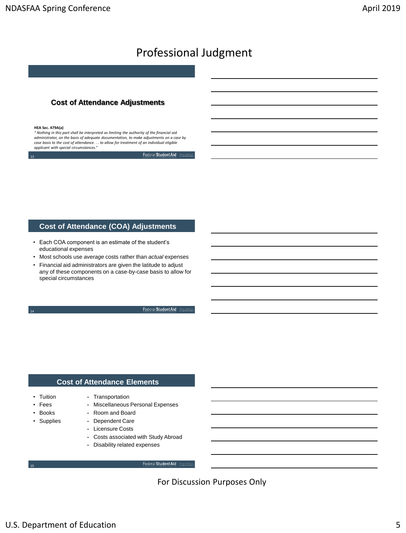## **Cost of Attendance Adjustments**

#### **HEA Sec. 479A(a)**

13

*" Nothing in this part shall be interpreted as limiting the authority of the financial aid administrator, on the basis of adequate documentation, to make adjustments on a case by case basis to the cost of attendance. . . to allow for treatment of an individual eligible applicant with special circumstances."*

Federal Student Aid

#### **Cost of Attendance (COA) Adjustments**

- Each COA component is an estimate of the student's educational expenses
- Most schools use *average* costs rather than *actual* expenses
- Financial aid administrators are given the latitude to adjust any of these components on a case-by-case basis to allow for special circumstances

Federal Student Aid | m

#### **Cost of Attendance Elements**

• Transportation

- Tuition
- Fees

14

• Books

15

- Supplies
- Dependent Care • Licensure Costs

• Room and Board

• Costs associated with Study Abroad

Federal Student Aid

• Miscellaneous Personal Expenses

• Disability related expenses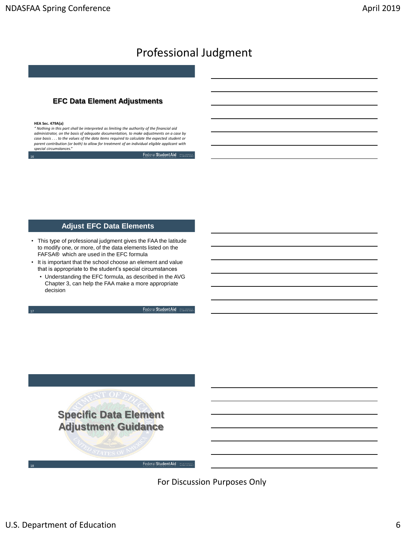## **EFC Data Element Adjustments**

#### **HEA Sec. 479A(a)**

16

17

18

*" Nothing in this part shall be interpreted as limiting the authority of the financial aid administrator, on the basis of adequate documentation, to make adjustments on a case by case basis . . . to the values of the data items required to calculate the expected student or parent contribution (or both) to allow for treatment of an individual eligible applicant with special circumstances."*

Federal Student Aid | mouth of

### **Adjust EFC Data Elements**

- This type of professional judgment gives the FAA the latitude to modify one, or more, of the data elements listed on the FAFSA® which are used in the EFC formula
- It is important that the school choose an element and value that is appropriate to the student's special circumstances
	- Understanding the EFC formula, as described in the AVG Chapter 3, can help the FAA make a more appropriate decision

Federal Student Aid

Federal Student Aid

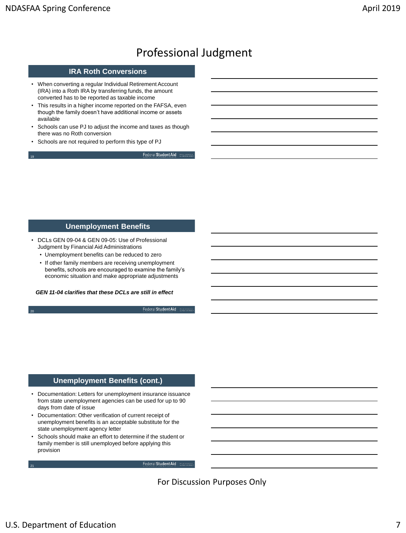20

21

# Professional Judgment

### **IRA Roth Conversions**

- When converting a regular Individual Retirement Account (IRA) into a Roth IRA by transferring funds, the amount converted has to be reported as taxable income
- This results in a higher income reported on the FAFSA, even though the family doesn't have additional income or assets available
- Schools can use PJ to adjust the income and taxes as though there was no Roth conversion
- Schools are not required to perform this type of PJ

Federal Student Aid | move stosses

### **Unemployment Benefits**

- DCLs GEN 09-04 & GEN 09-05: Use of Professional Judgment by Financial Aid Administrations
	- Unemployment benefits can be reduced to zero
	- If other family members are receiving unemployment benefits, schools are encouraged to examine the family's economic situation and make appropriate adjustments

*GEN 11-04 clarifies that these DCLs are still in effect*

Federal Student Aid

Federal Student Aid

### **Unemployment Benefits (cont.)**

- Documentation: Letters for unemployment insurance issuance from state unemployment agencies can be used for up to 90 days from date of issue
- Documentation: Other verification of current receipt of unemployment benefits is an acceptable substitute for the state unemployment agency letter
- Schools should make an effort to determine if the student or family member is still unemployed before applying this provision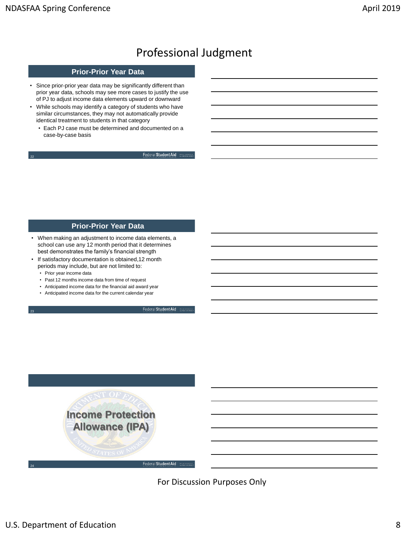23

# Professional Judgment

## **Prior-Prior Year Data**

- Since prior-prior year data may be significantly different than prior year data, schools may see more cases to justify the use of PJ to adjust income data elements upward or downward
- While schools may identify a category of students who have similar circumstances, they may not automatically provide identical treatment to students in that category
	- Each PJ case must be determined and documented on a case-by-case basis

Federal Student Aid

### **Prior-Prior Year Data**

- When making an adjustment to income data elements, a school can use any 12 month period that it determines best demonstrates the family's financial strength
- If satisfactory documentation is obtained,12 month periods may include, but are not limited to:
	- Prior year income data
	- Past 12 months income data from time of request
	- Anticipated income data for the financial aid award year
	- Anticipated income data for the current calendar year

Federal Student Aid

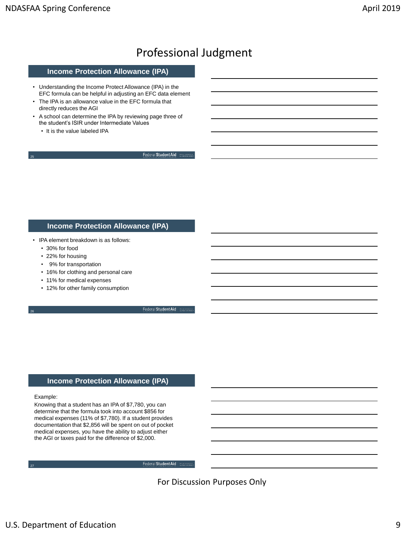#### **Income Protection Allowance (IPA)**

- Understanding the Income Protect Allowance (IPA) in the EFC formula can be helpful in adjusting an EFC data element
- The IPA is an allowance value in the EFC formula that directly reduces the AGI
- A school can determine the IPA by reviewing page three of the student's ISIR under Intermediate Values
	- It is the value labeled IPA

Federal Student Aid | mount

### **Income Protection Allowance (IPA)**

- IPA element breakdown is as follows:
	- 30% for food

25

- 22% for housing
- 9% for transportation
- 16% for clothing and personal care
- 11% for medical expenses
- 12% for other family consumption

Federal Student Aid | 20

Federal Student Aid

#### **Income Protection Allowance (IPA)**

#### Example:

27

26

Knowing that a student has an IPA of \$7,780, you can determine that the formula took into account \$856 for medical expenses (11% of \$7,780). If a student provides documentation that \$2,856 will be spent on out of pocket medical expenses, you have the ability to adjust either the AGI or taxes paid for the difference of \$2,000.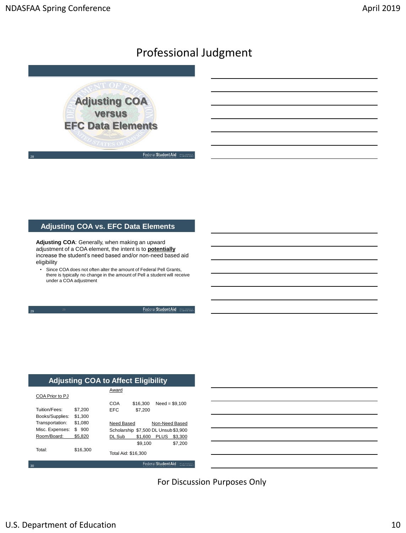

## **Adjusting COA vs. EFC Data Elements**

**Adjusting COA**: Generally, when making an upward adjustment of a COA element, the intent is to **potentially** increase the student's need based and/or non-need based aid eligibility

• Since COA does not often alter the amount of Federal Pell Grants, there is typically no change in the amount of Pell a student will receive under a COA adjustment

Federal Student Aid | mount

## **Adjusting COA to Affect Eligibility**

|                    |          | Award               |                                      |                     |                 |
|--------------------|----------|---------------------|--------------------------------------|---------------------|-----------------|
| COA Prior to PJ    |          |                     |                                      |                     |                 |
|                    |          | COA                 | \$16,300                             |                     | $Need = $9.100$ |
| Tuition/Fees:      | \$7.200  | EFC                 | \$7.200                              |                     |                 |
| Books/Supplies:    | \$1.300  |                     |                                      |                     |                 |
| Transportation:    | \$1.080  | Need Based          |                                      | Non-Need Based      |                 |
| Misc. Expenses:    | S<br>900 |                     | Scholarship \$7,500 DL Unsub \$3,900 |                     |                 |
| Room/Board:        | \$5.820  | DL Sub              | \$1.600                              | <b>PLUS</b>         | \$3,300         |
|                    |          |                     | \$9.100                              |                     | \$7.200         |
| Total <sup>.</sup> | \$16.300 | Total Aid: \$16.300 |                                      |                     |                 |
| 30                 |          |                     |                                      | Federal Student Aid |                 |



For Discussion Purposes Only

29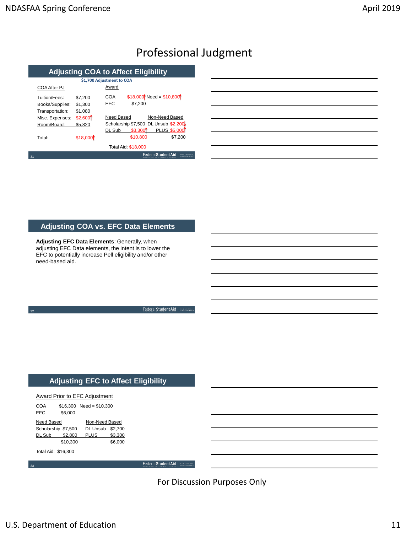## **Adjusting COA to Affect Eligibility**

|    |                                                     | \$1,700 Adjustment to COA     |            |                     |                                      |  |
|----|-----------------------------------------------------|-------------------------------|------------|---------------------|--------------------------------------|--|
|    | COA After PJ                                        |                               | Award      |                     |                                      |  |
|    | Tuition/Fees:<br>Books/Supplies:<br>Transportation: | \$7.200<br>\$1,300<br>\$1,080 | COA<br>EFC | \$7.200             | $$18,000$ Need = \$10,800            |  |
|    | Misc. Expenses:                                     | \$2,600                       | Need Based |                     | Non-Need Based                       |  |
|    | Room/Board:                                         | \$5,820                       |            |                     | Scholarship \$7,500 DL Unsub \$2,200 |  |
|    |                                                     |                               | DL Sub     | \$3,300             | <b>PLUS \$5,000</b>                  |  |
|    | Total <sup>-</sup>                                  | \$18,000                      |            | \$10,800            | \$7,200                              |  |
|    |                                                     |                               |            | Total Aid: \$18,000 |                                      |  |
| 31 |                                                     |                               |            |                     | Federal Student Aid                  |  |

| <u> 1989 - Johann Stoff, deutscher Stoffen und der Stoffen und der Stoffen und der Stoffen und der Stoffen und de</u> |  |  |
|-----------------------------------------------------------------------------------------------------------------------|--|--|
|                                                                                                                       |  |  |

## **Adjusting COA vs. EFC Data Elements**

**Adjusting EFC Data Elements**: Generally, when adjusting EFC Data elements, the intent is to lower the EFC to potentially increase Pell eligibility and/or other need-based aid.

Federal Student Aid

Federal Student Aid

## **Adjusting EFC to Affect Eligibility**

| Award Prior to EFC Adjustment |  |
|-------------------------------|--|
|                               |  |

32

33

| <b>COA</b> |                     | $$16,300$ Need = \$10,300 |         |
|------------|---------------------|---------------------------|---------|
| <b>EFC</b> | \$6.000             |                           |         |
| Need Based |                     | Non-Need Based            |         |
|            | Scholarship \$7,500 | DL Unsub \$2,700          |         |
| DL Sub     | \$2.800             | <b>PLUS</b>               | \$3.300 |
|            | \$10,300            |                           | \$6.000 |
|            | Total Aid: \$16,300 |                           |         |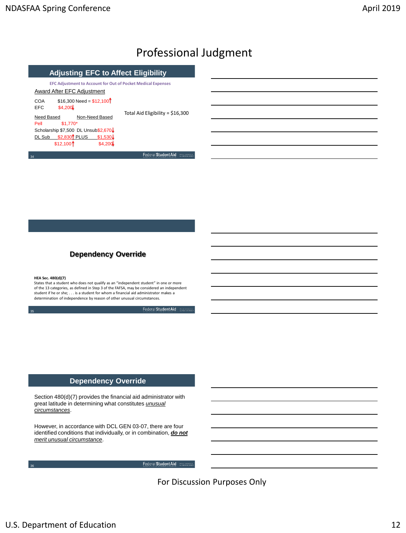| <b>Adjusting EFC to Affect Eligibility</b>     |                    |                                                                     |  |
|------------------------------------------------|--------------------|---------------------------------------------------------------------|--|
|                                                |                    | <b>EFC Adjustment to Account for Out of Pocket Medical Expenses</b> |  |
| Award After EFC Adiustment                     |                    |                                                                     |  |
| $$16.300$ Need = $$12.100$ <sup>†</sup><br>COA |                    |                                                                     |  |
| \$4.200<br><b>EFC</b>                          |                    |                                                                     |  |
| Need Based                                     | Non-Need Based     | Total Aid Eligibility = \$16,300                                    |  |
| $$1.770*$<br>Pell                              |                    |                                                                     |  |
| Scholarship \$7,500 DL Unsub\$2,670↓           |                    |                                                                     |  |
| \$2.830 <sup>1</sup> PLUS<br>DL Sub            | $$1,530\downarrow$ |                                                                     |  |
| $$12,100$ <sup>↑</sup>                         | \$4,200            |                                                                     |  |
| 34                                             |                    | Federal Student Aid                                                 |  |

## **Dependency Override**

#### **HEA Sec. 480(d)(7)**

35

36

States that a student who does not qualify as an "independent student" in one or more of the 13 categories, as defined in Step 3 of the FAFSA, may be considered an independent student if he or she; . . . is a student for whom a financial aid administrator makes a determination of independence by reason of other unusual circumstances.

Federal Student Aid | 30000

Federal Student Aid | manage

### **Dependency Override**

Section 480(d)(7) provides the financial aid administrator with great latitude in determining what constitutes *unusual circumstances*.

However, in accordance with DCL GEN 03-07, there are four identified conditions that individually, or in combination, *do not merit unusual circumstance*.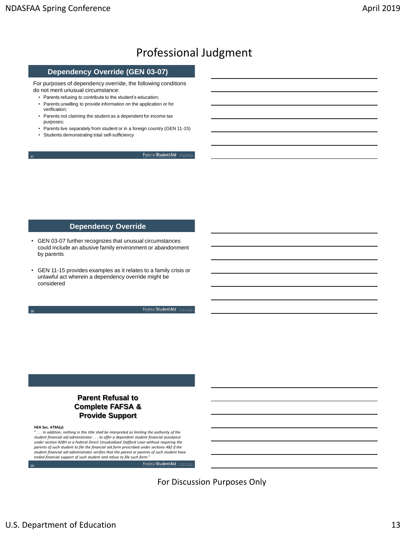38

## Professional Judgment

#### **Dependency Override (GEN 03-07)**

For purposes of dependency override, the following conditions do not merit unusual circumstance:

- Parents refusing to contribute to the student's education;
- Parents unwilling to provide information on the application or for verification;
- Parents not claiming the student as a dependent for income tax purposes;
- Parents live separately from student or in a foreign country (GEN 11-15)
- Students demonstrating total self-sufficiency

Federal Student Aid | MOLD STONES

#### **Dependency Override**

- GEN 03-07 further recognizes that unusual circumstances could include an abusive family environment or abandonment by parents
- GEN 11-15 provides examples as it relates to a family crisis or unlawful act wherein a dependency override might be considered

Federal Student Aid | 2000

Federal Student Aid | mag

## **Parent Refusal to Complete FAFSA & Provide Support**

#### **HEA Sec. 479A(a)**

39

... In addition, nothing in this title shall be interpreted as limiting the authority of the *student financial aid administrator . . . to offer a dependent student financial assistance under section 428H or a Federal Direct Unsubsidized Stafford Loan without requiring the parents of such student to file the financial aid form prescribed under sections 482 if the student financial aid administrator verifies that the parent or parents of such student have ended financial support of such student and refuse to file such form."*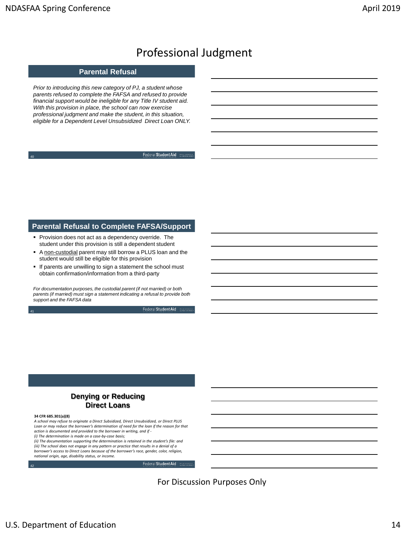41

## Professional Judgment

### **Parental Refusal**

*Prior to introducing this new category of PJ, a student whose parents refused to complete the FAFSA and refused to provide financial support would be ineligible for any Title IV student aid. With this provision in place, the school can now exercise professional judgment and make the student, in this situation, eligible for a Dependent Level Unsubsidized Direct Loan ONLY.*

Federal Student Aid | mount

### **Parental Refusal to Complete FAFSA/Support**

- **Provision does not act as a dependency override. The** student under this provision is still a dependent student
- A non-custodial parent may still borrow a PLUS loan and the student would still be eligible for this provision
- If parents are unwilling to sign a statement the school must obtain confirmation/information from a third-party

*For documentation purposes, the custodial parent (if not married) or both parents (if married) must sign a statement indicating a refusal to provide both support and the FAFSA data*

Federal Student Aid | 2000 st

## **Denying or Reducing Direct Loans**

#### **34 CFR 685.301(a)(8)**

42

*A school may refuse to originate a Direct Subsidized, Direct Unsubsidized, or Direct PLUS*  Loan or may reduce the borrower's determination of need for the loan if the reason for that *action is documented and provided to the borrower in writing, and if - (i) The determination is made on a case-by-case basis;*

*(ii) The documentation supporting the determination is retained in the student's file: and (iii) The school does not engage in any pattern or practice that results in a denial of a borrower's access to Direct Loans because of the borrower's race, gender, color, religion,* 

Federal Student Aid

For Discussion Purposes Only

*national origin, age, disability status, or income.*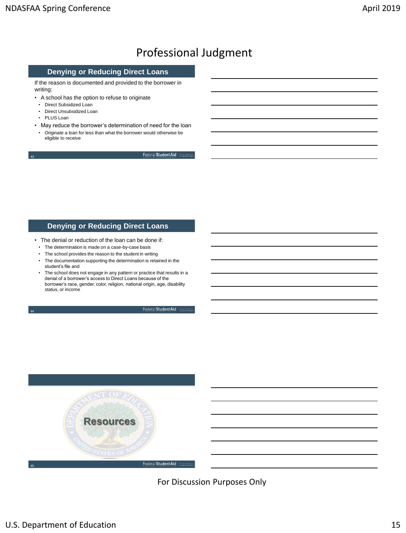### **Denying or Reducing Direct Loans**

If the reason is documented and provided to the borrower in writing:

- A school has the option to refuse to originate
- Direct Subsidized Loan
- Direct Unsubsidized Loan
- PLUS Loan

43

44

• May reduce the borrower's determination of need for the loan • Originate a loan for less than what the borrower would otherwise be eligible to receive

Federal Student Aid | man stores

#### **Denying or Reducing Direct Loans**

- The denial or reduction of the loan can be done if:
- The determination is made on a case-by-case basis
- The school provides the reason to the student in writing
- The documentation supporting the determination is retained in the student's file and
- The school does not engage in any pattern or practice that results in a denial of a borrower's access to Direct Loans because of the borrower's race, gender, color, religion, national origin, age, disability status, or income

Federal Student Aid | 30000

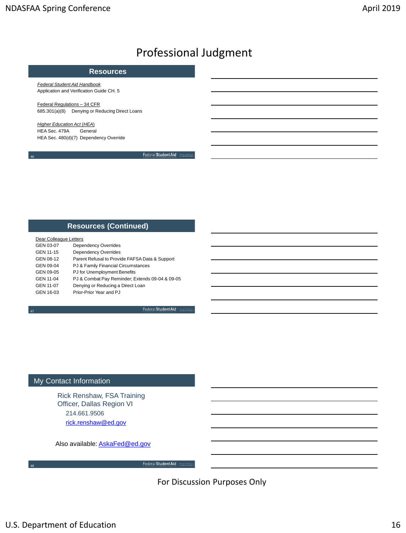#### **Resources**

*Federal Student Aid Handbook* Application and Verification Guide CH. 5

Federal Regulations – 34 CFR 685.301(a)(8) Denying or Reducing Direct Loans

*Higher Education Act* (*HEA*) HEA Sec. 479A General HEA Sec. 480(d)(7) Dependency Override

46

47

48

Federal Student Aid | moun stoward

### **Resources (Continued)**

| Dear Colleague Letters |                                                 |
|------------------------|-------------------------------------------------|
| GEN 03-07              | <b>Dependency Overrides</b>                     |
| GEN 11-15              | <b>Dependency Overrides</b>                     |
| GEN 08-12              | Parent Refusal to Provide FAFSA Data & Support  |
| GEN 09-04              | PJ & Family Financial Circumstances             |
| GEN 09-05              | PJ for Unemployment Benefits                    |
| GEN 11-04              | PJ & Combat Pay Reminder; Extends 09-04 & 09-05 |
| GEN 11-07              | Denying or Reducing a Direct Loan               |
| GEN 16-03              | Prior-Prior Year and PJ                         |
|                        |                                                 |

Federal Student Aid | 2000

Federal Student Aid

## My Contact Information

Rick Renshaw, FSA Training Officer, Dallas Region VI 214.661.9506 [rick.renshaw@ed.gov](mailto:rick.renshaw@ed.gov)

Also available: **AskaFed@ed.gov**